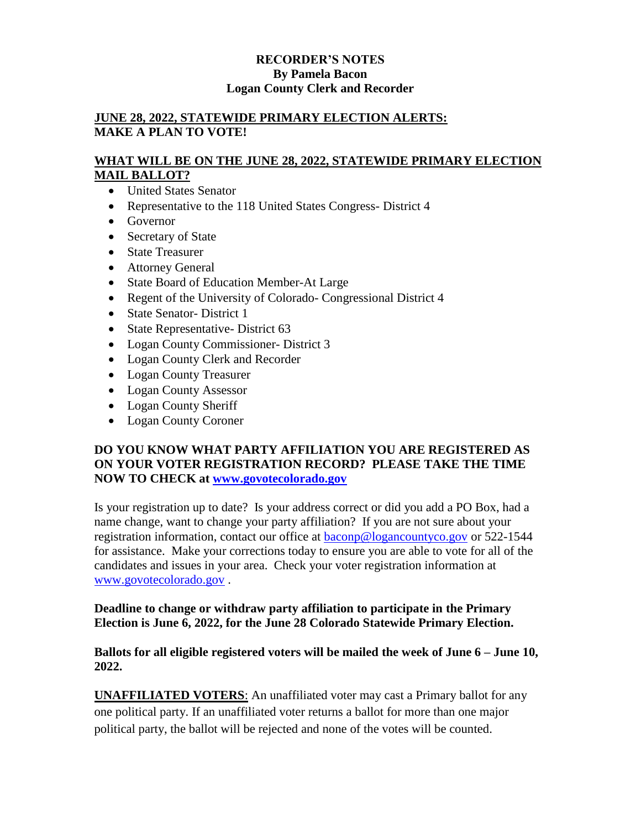### **RECORDER'S NOTES By Pamela Bacon Logan County Clerk and Recorder**

### **JUNE 28, 2022, STATEWIDE PRIMARY ELECTION ALERTS: MAKE A PLAN TO VOTE!**

# **WHAT WILL BE ON THE JUNE 28, 2022, STATEWIDE PRIMARY ELECTION MAIL BALLOT?**

- United States Senator
- Representative to the 118 United States Congress-District 4
- Governor
- Secretary of State
- State Treasurer
- Attorney General
- State Board of Education Member-At Large
- Regent of the University of Colorado- Congressional District 4
- State Senator-District 1
- State Representative- District 63
- Logan County Commissioner-District 3
- Logan County Clerk and Recorder
- Logan County Treasurer
- Logan County Assessor
- Logan County Sheriff
- Logan County Coroner

# **DO YOU KNOW WHAT PARTY AFFILIATION YOU ARE REGISTERED AS ON YOUR VOTER REGISTRATION RECORD? PLEASE TAKE THE TIME NOW TO CHECK at [www.govotecolorado.gov](http://www.govotecolorado.gov/)**

Is your registration up to date? Is your address correct or did you add a PO Box, had a name change, want to change your party affiliation? If you are not sure about your registration information, contact our office at [baconp@logancountyco.gov](mailto:baconp@logancountyco.gov) or 522-1544 for assistance. Make your corrections today to ensure you are able to vote for all of the candidates and issues in your area. Check your voter registration information at [www.govotecolorado.gov](http://www.govotecolorado.gov/) .

### **Deadline to change or withdraw party affiliation to participate in the Primary Election is June 6, 2022, for the June 28 Colorado Statewide Primary Election.**

### **Ballots for all eligible registered voters will be mailed the week of June 6 – June 10, 2022.**

**UNAFFILIATED VOTERS**: An unaffiliated voter may cast a Primary ballot for any one political party. If an unaffiliated voter returns a ballot for more than one major political party, the ballot will be rejected and none of the votes will be counted.